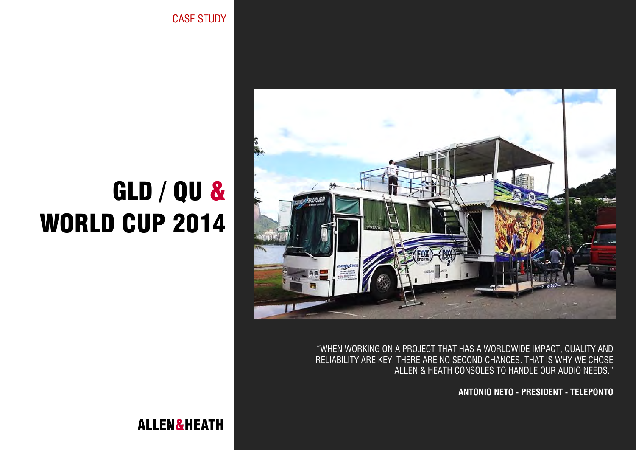GLD / QU & WORLD CUP 2014



"WHEN WORKING ON A PROJECT THAT HAS A WORLDWIDE IMPACT, QUALITY AND RELIABILITY ARE KEY. THERE ARE NO SECOND CHANCES. THAT IS WHY WE CHOSE ALLEN & HEATH CONSOLES TO HANDLE OUR AUDIO NEEDS."

**ANTONIO NETO - PRESIDENT - TELEPONTO**

CASE STUDY

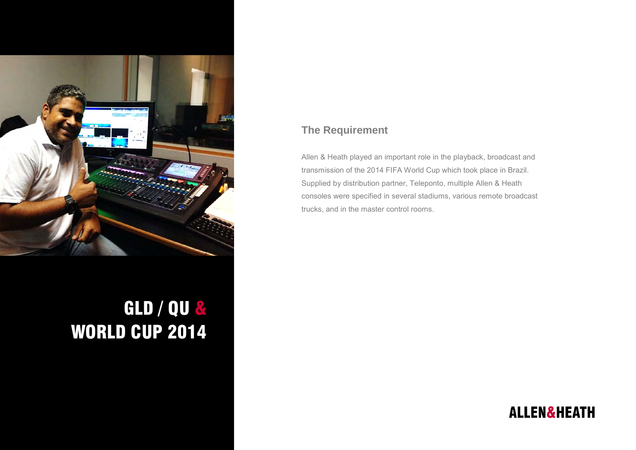

## GLD / QU & WORLD CUP 2014

## **The Requirement**

Allen & Heath played an important role in the playback, broadcast and transmission of the 2014 FIFA World Cup which took place in Brazil. Supplied by distribution partner, Teleponto, multiple Allen & Heath consoles were specified in several stadiums, various remote broadcast trucks, and in the master control rooms.

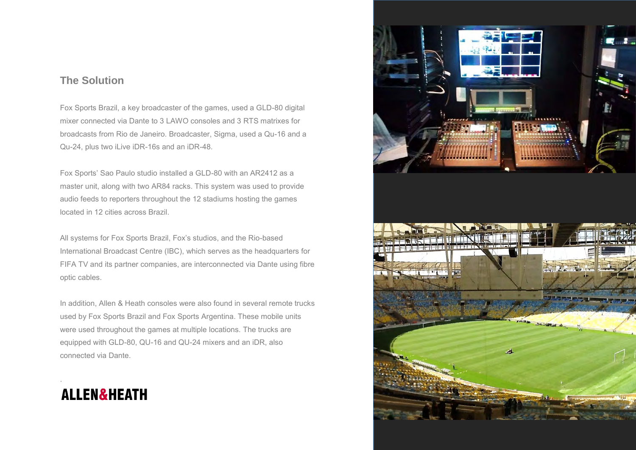## **The Solution**

Fox Sports Brazil, a key broadcaster of the games, used a GLD-80 digital mixer connected via Dante to 3 LAWO consoles and 3 RTS matrixes for broadcasts from Rio de Janeiro. Broadcaster, Sigma, used a Qu-16 and a Qu-24, plus two iLive iDR-16s and an iDR-48.

Fox Sports' Sao Paulo studio installed a GLD-80 with an AR2412 as a master unit, along with two AR84 racks. This system was used to provide audio feeds to reporters throughout the 12 stadiums hosting the games located in 12 cities across Brazil.

All systems for Fox Sports Brazil, Fox's studios, and the Rio-based International Broadcast Centre (IBC), which serves as the headquarters for FIFA TV and its partner companies, are interconnected via Dante using fibre optic cables.

In addition, Allen & Heath consoles were also found in several remote trucks used by Fox Sports Brazil and Fox Sports Argentina. These mobile units were used throughout the games at multiple locations. The trucks are equipped with GLD-80, QU-16 and QU-24 mixers and an iDR, also connected via Dante.



.